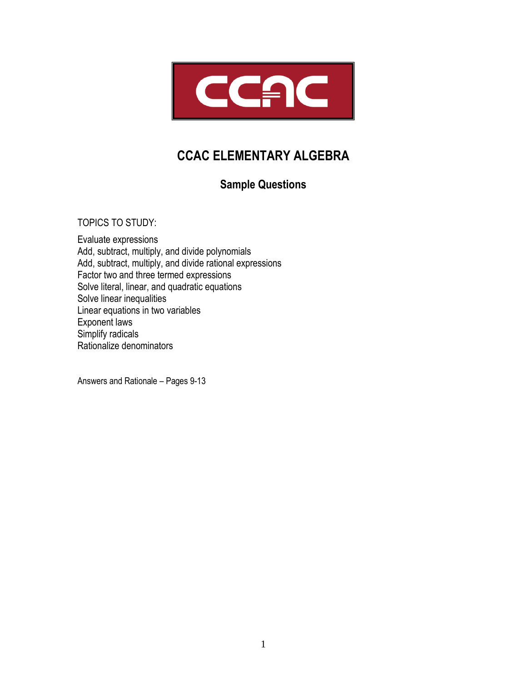

# **CCAC ELEMENTARY ALGEBRA**

## **Sample Questions**

TOPICS TO STUDY:

Evaluate expressions Add, subtract, multiply, and divide polynomials Add, subtract, multiply, and divide rational expressions Factor two and three termed expressions Solve literal, linear, and quadratic equations Solve linear inequalities Linear equations in two variables Exponent laws Simplify radicals Rationalize denominators

Answers and Rationale – Pages 9-13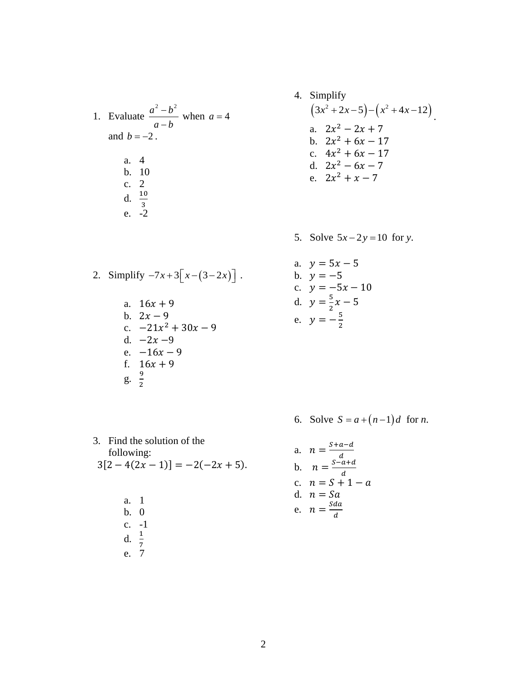1. Evaluate 
$$
\frac{a^2 - b^2}{a - b}
$$
 when  $a = 4$   
and  $b = -2$ .  
a. 4  
b. 10  
c. 2  
d.  $\frac{10}{3}$   
e. -2

4. Simplify  
\n
$$
(3x^2 + 2x - 5) - (x^2 + 4x - 12)
$$
\na. 
$$
2x^2 - 2x + 7
$$
\nb. 
$$
2x^2 + 6x - 17
$$
\nc. 
$$
4x^2 + 6x - 17
$$
\nd. 
$$
2x^2 - 6x - 7
$$
\ne. 
$$
2x^2 + x - 7
$$

5. Solve  $5x - 2y = 10$  for *y*.

2. Simplify 
$$
-7x+3[x-(3-2x)]
$$
.

a.  $16x + 9$ b.  $2x - 9$ c.  $-21x^2 + 30x - 9$ d.  $-2x-9$ e.  $-16x - 9$ f.  $16x + 9$  $g. \frac{9}{2}$ 2

a. 
$$
y = 5x - 5
$$
  
\nb.  $y = -5$   
\nc.  $y = -5x - 10$   
\nd.  $y = \frac{5}{2}x - 5$   
\ne.  $y = -\frac{5}{2}$ 

6. Solve  $S = a + (n-1)d$  for *n*.

3. Find the solution of the following:  
\n
$$
3[2-4(2x-1)] = -2(-2x+5).
$$

a. 1 b. 0 c. -1 d.  $\frac{1}{7}$ e. 7

a. 
$$
n = \frac{s+a-d}{d}
$$
  
\nb. 
$$
n = \frac{s-a+d}{d}
$$
  
\nc. 
$$
n = S + 1 - a
$$
  
\nd. 
$$
n = Sa
$$
  
\ne. 
$$
n = \frac{Sda}{d}
$$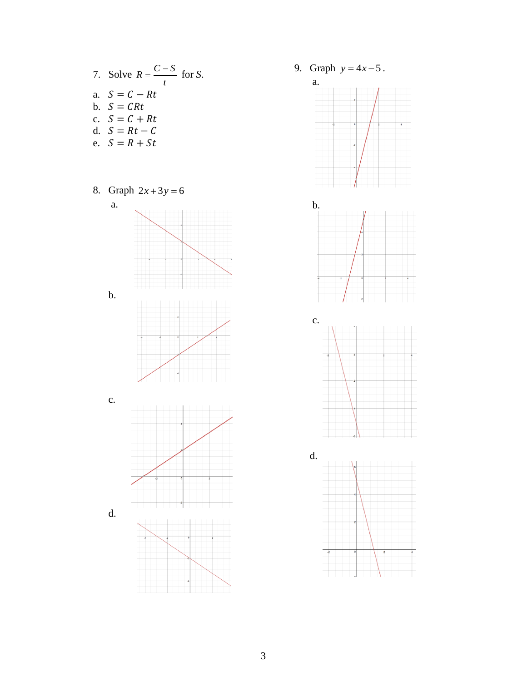- 7. Solve  $R = \frac{C-S}{t}$  for S. a.  $S = C - Rt$ b.  $S = CRt$ c.  $S = C + Rt$ d.  $S = Rt - C$
- e.  $S = R + St$
- 8. Graph  $2x + 3y = 6$



9. Graph  $y = 4x - 5$ .  $\mathbf{a}$ .







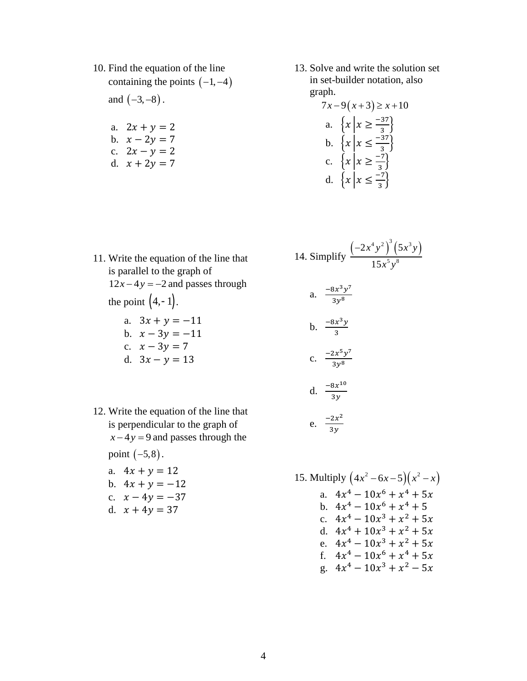10. Find the equation of the line containing the points  $(-1, -4)$ 

and  $(-3,-8)$ .

- a.  $2x + y = 2$ b.  $x - 2y = 7$
- c.  $2x y = 2$
- d.  $x + 2y = 7$

13. Solve and write the solution set in set-builder notation, also graph.

$$
7x-9(x+3) \ge x+10
$$
  
a. 
$$
\{x \mid x \ge \frac{-37}{3}\}
$$
  
b. 
$$
\{x \mid x \le \frac{-37}{3}\}
$$
  
c. 
$$
\{x \mid x \ge \frac{-7}{3}\}
$$
  
d. 
$$
\{x \mid x \le \frac{-7}{3}\}
$$

14. Simplify 
$$
\frac{\left(-2x^4y^2\right)^3\left(5x^3y\right)}{15x^5y^8}
$$

a. 
$$
\frac{-8x^3y^7}{3y^8}
$$
  
\nb. 
$$
\frac{-8x^3y}{3}
$$
  
\nc. 
$$
\frac{-2x^5y^7}{3y^8}
$$
  
\nd. 
$$
\frac{-8x^{10}}{3y^8}
$$

$$
3y
$$
\n
$$
e. \frac{-2x^2}{3y}
$$

15. Multiply  $(4x^2 - 6x - 5)(x^2 - x)$ a.  $4x^4 - 10x^6 + x^4 + 5x$ b.  $4x^4 - 10x^6 + x^4 + 5$ c.  $4x^4 - 10x^3 + x^2 + 5x$ d.  $4x^4 + 10x^3 + x^2 + 5x$ e.  $4x^4 - 10x^3 + x^2 + 5x$ f.  $4x^4 - 10x^6 + x^4 + 5x$ g.  $4x^4 - 10x^3 + x^2 - 5x$ 

- 11. Write the equation of the line that is parallel to the graph of  $12x - 4y = -2$  and passes through the point  $(4,-1)$ . a.  $3x + y = -11$ b.  $x - 3y = -11$ 
	- c.  $x 3y = 7$
	- d.  $3x y = 13$
- 12. Write the equation of the line that is perpendicular to the graph of  $x - 4y = 9$  and passes through the point  $(-5,8)$ .
	- a.  $4x + y = 12$
	- b.  $4x + y = -12$
	- c.  $x 4y = -37$
	- d.  $x + 4y = 37$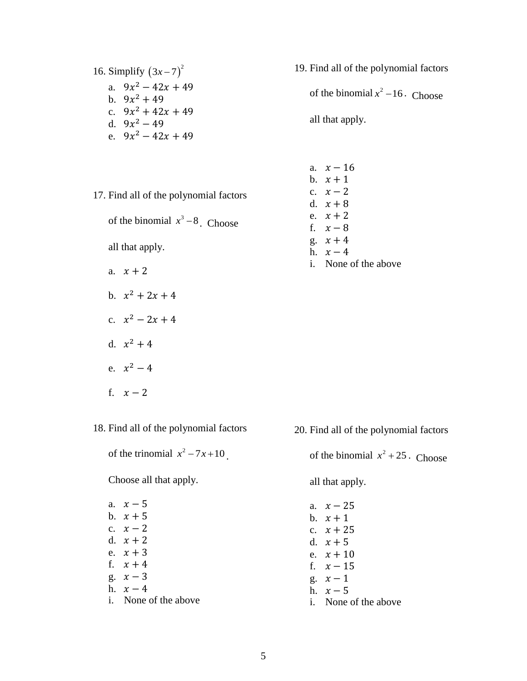## 16. Simplify  $(3x-7)^2$ a.  $9x^2 - 42x + 49$ b.  $9x^2 + 49$ c.  $9x^2 + 42x + 49$ d.  $9x^2 - 49$ e.  $9x^2 - 42x + 49$

19. Find all of the polynomial factors of the binomial  $x^2 - 16$ . Choose all that apply.

17. Find all of the polynomial factors

of the binomial  $x^3 - 8$ . Choose

all that apply.

- a.  $x + 2$
- b.  $x^2 + 2x + 4$
- c.  $x^2 2x + 4$
- d.  $x^2 + 4$
- e.  $x^2 4$
- f.  $x 2$

18. Find all of the polynomial factors

of the trinomial  $x^2 - 7x + 10$ .

Choose all that apply.

| b. $x + 5$<br>c. $x-2$<br>d. $x+2$<br>e. $x + 3$<br>f. $x + 4$<br>g. $x - 3$<br>h. $x-4$ | a. $x - 5$           |
|------------------------------------------------------------------------------------------|----------------------|
|                                                                                          |                      |
|                                                                                          |                      |
|                                                                                          |                      |
|                                                                                          |                      |
|                                                                                          |                      |
|                                                                                          |                      |
|                                                                                          |                      |
|                                                                                          | i. None of the above |

| a. $x - 16$          |
|----------------------|
| $h \quad x+1$        |
| c. $x-2$             |
| d. $x+8$             |
| e. $x + 2$           |
| f. $x-8$             |
| g. $x + 4$           |
| h. $x-4$             |
| i. None of the above |

20. Find all of the polynomial factors of the binomial  $x^2 + 25$ . Choose all that apply. a.  $x - 25$ b.  $x + 1$ c.  $x + 25$ d.  $x + 5$ e.  $x + 10$ 

- f.  $x 15$ g.  $x - 1$ h.  $x - 5$ 
	- i. None of the above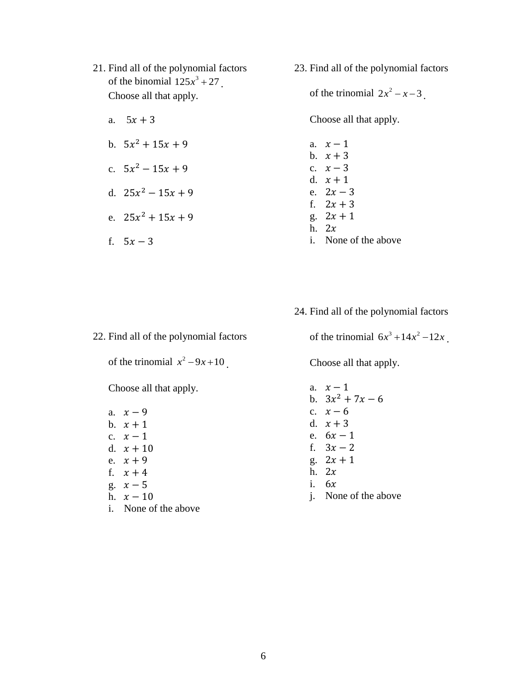- 21. Find all of the polynomial factors of the binomial  $125x^3 + 27$ . Choose all that apply.
	- a.  $5x + 3$
	- b.  $5x^2 + 15x + 9$
	- c.  $5x^2 15x + 9$
	- d.  $25x^2 15x + 9$
	- e.  $25x^2 + 15x + 9$
	- f.  $5x 3$

23. Find all of the polynomial factors

of the trinomial  $2x^2 - x - 3$ .

Choose all that apply.

- a.  $x 1$ b.  $x + 3$ c.  $x - 3$ d.  $x + 1$ e.  $2x - 3$ f.  $2x + 3$ g.  $2x + 1$ h.  $2x$ i. None of the above
- 24. Find all of the polynomial factors

22. Find all of the polynomial factors

of the trinomial  $x^2 - 9x + 10$ .

Choose all that apply.

a.  $x - 9$ b.  $x + 1$ c.  $x - 1$ d.  $x + 10$ e.  $x + 9$ f.  $x + 4$ g.  $x-5$ h.  $x - 10$ i. None of the above of the trinomial  $6x^3 + 14x^2 - 12x$ .

Choose all that apply.

a.  $x - 1$ b.  $3x^2 + 7x - 6$ c.  $x - 6$ d.  $x + 3$ e.  $6x - 1$ f.  $3x - 2$ g.  $2x + 1$ h.  $2x$ i.  $6x$ j. None of the above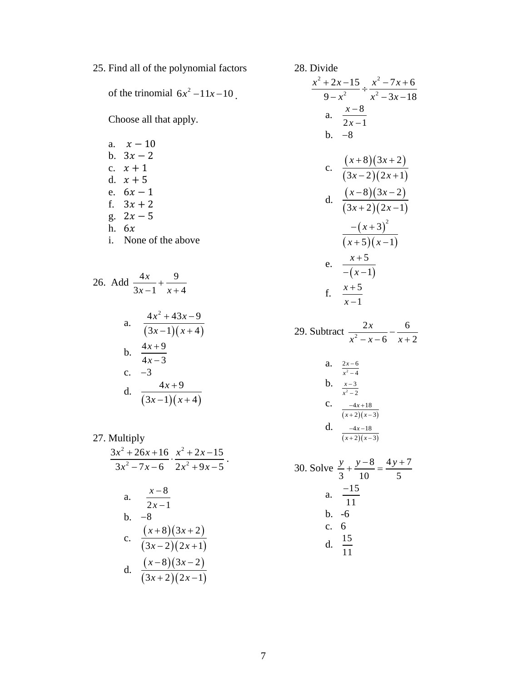25. Find all of the polynomial factors

of the trinomial  $6x^2 - 11x - 10$ .

Choose all that apply.

- a.  $x 10$ b.  $3x - 2$ c.  $x + 1$ d.  $x + 5$ e.  $6x - 1$ f.  $3x + 2$ g.  $2x - 5$ h.  $6x$
- i. None of the above

26. Add 
$$
\frac{4x}{3x-1} + \frac{9}{x+4}
$$
  
\na.  $\frac{4x^2 + 43x - 9}{(3x-1)(x+4)}$   
\nb.  $\frac{4x+9}{4x-3}$   
\nc. -3  
\nd.  $\frac{4x+9}{(3x-1)(x+4)}$ 

27. Multiply  
\n
$$
\frac{3x^2 + 26x + 16}{3x^2 - 7x - 6} \cdot \frac{x^2 + 2x - 15}{2x^2 + 9x - 5}
$$
\n  
\na. 
$$
\frac{x - 8}{2x - 1}
$$
\nb. -8  
\nc. 
$$
\frac{(x + 8)(3x + 2)}{(3x - 2)(2x + 1)}
$$
\nd. 
$$
\frac{(x - 8)(3x - 2)}{(3x + 2)(2x - 1)}
$$

28. Divide  $^{2}$   $2r$  15  $r^{2}$  $\frac{1}{2}$   $\div$   $\frac{1}{r^2}$  $2x-15$   $x^2-7x+6$  $\frac{1}{9-x^2}$   $\div \frac{x^2-3x-18}{x^2-3x-18}$  $x^2 + 2x - 15$ ,  $x^2 - 7x$  $\frac{x^2}{x^2}$   $\div \frac{x^2-3x}{x^2-3x}$  $\frac{+2x-15}{9-x^2} \div \frac{x^2-7x+6}{x^2-3x-18}$ a.  $\frac{x-8}{1}$  $2x - 1$ *x x*  $\overline{a}$  $\overline{a}$  $b. -8$ c.  $\frac{(x+8)(3x+2)}{(x-2)(3x+2)}$  $(3x-2)(2x+1)$ 8) $(3x+2)$  $3x - 2 (2x + 1)$  $(x+8)(3x)$  $(x-2)(2x)$  $(x+8)(3x+2)$  $(-2)(2x+1)$ d.  $\frac{(x-8)(3x-2)}{(x-2)(3x-1)}$  $(3x+2)(2x-1)$ 8 $(3x-2)$  $3x + 2 (2x - 1)$  $(x-8)(3x)$  $(x+2)(2x)$  $(x-8)(3x-2)$  $(+2)(2x-1)$  $(x+3)$  $(x+5)(x-1)$  $3)^2$  $5(x-1)$ *x*  $(x+5)(x)$  $-(x+3)$  $(+5)(x-1)$ e.  $(x-1)$ 5 1 *x x*  $^{+}$  $-(x$ f.  $\frac{x+5}{x+5}$ 1 *x x*  $\ddot{}$  $\overline{a}$ 29. Subtract  $\frac{1}{x^2}$  $2x$  6 6  $x + 2$ *x*  $\frac{2x}{x^2 - x - 6} - \frac{6}{x + 2}$ 

a. 
$$
\frac{2x-6}{x^2-4}
$$
  
\nb. 
$$
\frac{x-3}{x^2-2}
$$
  
\nc. 
$$
\frac{-4x+18}{(x+2)(x-3)}
$$
  
\nd. 
$$
\frac{-4x-18}{(x+2)(x-3)}
$$

30. Solve 
$$
\frac{y}{3} + \frac{y-8}{10} = \frac{4y+7}{5}
$$
  
a.  $\frac{-15}{11}$   
b. -6  
c. 6  
d.  $\frac{15}{11}$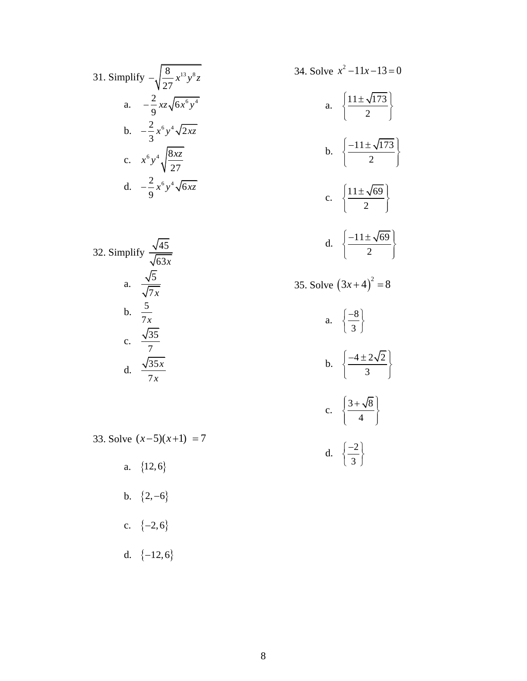31. Simplify 
$$
-\sqrt{\frac{8}{27}} x^{13} y^8 z
$$
  
\na.  $-\frac{2}{9} xz \sqrt{6x^6 y^4}$   
\nb.  $-\frac{2}{3} x^6 y^4 \sqrt{2xz}$   
\nc.  $x^6 y^4 \sqrt{\frac{8xz}{27}}$   
\nd.  $-\frac{2}{9} x^6 y^4 \sqrt{6xz}$ 

32. Simplify 
$$
\frac{\sqrt{45}}{\sqrt{63x}}
$$
  
a.  $\frac{\sqrt{5}}{\sqrt{7x}}$   
b.  $\frac{5}{7x}$   
c.  $\frac{\sqrt{35}}{7}$   
d.  $\frac{\sqrt{35x}}{7x}$ 

a. 
$$
\left\{\frac{11 \pm \sqrt{173}}{2}\right\}
$$
  
\nb. 
$$
\left\{\frac{-11 \pm \sqrt{173}}{2}\right\}
$$
  
\nc. 
$$
\left\{\frac{11 \pm \sqrt{69}}{2}\right\}
$$
  
\nd. 
$$
\left\{\frac{-11 \pm \sqrt{69}}{2}\right\}
$$
  
\n35. Solve  $(3x + 4)^2 = 8$   
\na. 
$$
\left\{\frac{-8}{3}\right\}
$$
  
\nb. 
$$
\left\{\frac{-4 \pm 2\sqrt{2}}{3}\right\}
$$
  
\nc. 
$$
\left\{\frac{3 + \sqrt{8}}{4}\right\}
$$
  
\nd. 
$$
\left\{\frac{-2}{3}\right\}
$$

34. Solve  $x^2 - 11x - 13 = 0$ 

33. Solve  $(x-5)(x+1) = 7$ 

a.  $\{12,6\}$ 

b.  $\{2,-6\}$ 

$$
c. \quad \{-2,6\}
$$

d. 
$$
\{-12,6\}
$$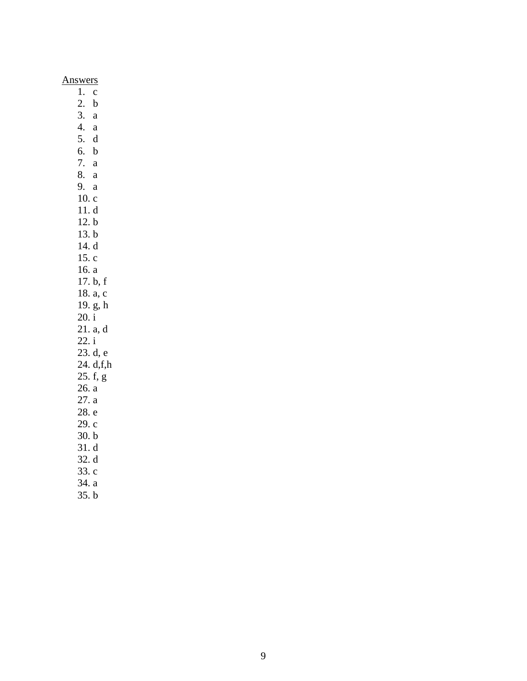### Answers

 $\overline{1. c}$ 2.  $b$  $3. a$ 4. a 5.  $d$ 6. b 7. a 8. a 9. a  $10.c$  $11.d$  $12.b$  $13. b$ 14. d  $15.c$  $16. a$ 17.  $b, f$ 18. a, c 19. g, h  $20. i$  $21. a, d$  $22. i$ 23. d, e  $24. d.f.h$  $25. f, g$  $26. a$  $27. a$ 28. e 29. c  $30. b$  $31. d$  $32. d$  $33.c$ 34. a

 $35. b$ 

9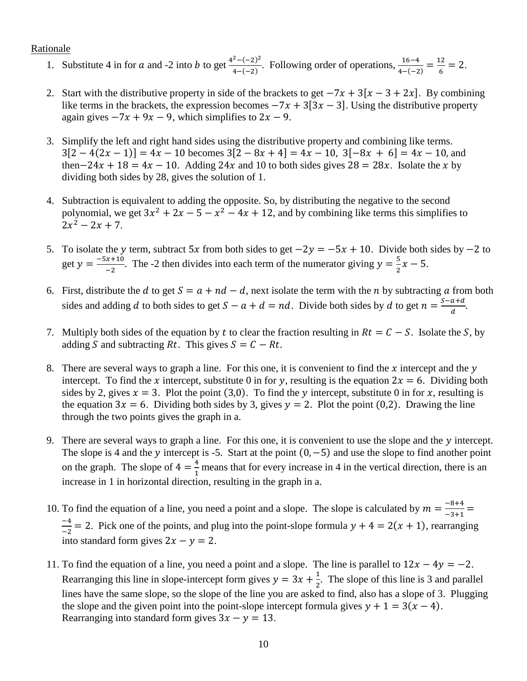#### Rationale

- 1. Substitute 4 in for a and -2 into b to get  $\frac{4^2-(-2)^2}{4(a-2)}$  $\frac{16-4}{4-(-2)}$ . Following order of operations,  $\frac{16-4}{4-(-2)} = \frac{12}{6}$  $\frac{12}{6} = 2.$
- 2. Start with the distributive property in side of the brackets to get  $-7x + 3[x 3 + 2x]$ . By combining like terms in the brackets, the expression becomes  $-7x + 3[3x - 3]$ . Using the distributive property again gives  $-7x + 9x - 9$ , which simplifies to  $2x - 9$ .
- 3. Simplify the left and right hand sides using the distributive property and combining like terms.  $3[2-4(2x-1)] = 4x - 10$  becomes  $3[2-8x+4] = 4x - 10$ ,  $3[-8x+6] = 4x - 10$ , and then−24x + 18 = 4x − 10. Adding 24x and 10 to both sides gives  $28 = 28x$ . Isolate the x by dividing both sides by 28, gives the solution of 1.
- 4. Subtraction is equivalent to adding the opposite. So, by distributing the negative to the second polynomial, we get  $3x^2 + 2x - 5 - x^2 - 4x + 12$ , and by combining like terms this simplifies to  $2x^2 - 2x + 7$ .
- 5. To isolate the y term, subtract 5x from both sides to get  $-2y = -5x + 10$ . Divide both sides by  $-2$  to get  $y = \frac{-5x+10}{x}$  $\frac{x+10}{-2}$ . The -2 then divides into each term of the numerator giving  $y = \frac{5}{2}$  $\frac{3}{2}x-5.$
- 6. First, distribute the *d* to get  $S = a + nd d$ , next isolate the term with the *n* by subtracting *a* from both sides and adding d to both sides to get  $S - a + d = nd$ . Divide both sides by d to get  $n = \frac{S - a + d}{d}$  $\frac{a+a}{d}$ .
- 7. Multiply both sides of the equation by t to clear the fraction resulting in  $Rt = C S$ . Isolate the S, by adding S and subtracting Rt. This gives  $S = C - Rt$ .
- 8. There are several ways to graph a line. For this one, it is convenient to find the  $x$  intercept and the  $y$ intercept. To find the x intercept, substitute 0 in for y, resulting is the equation  $2x = 6$ . Dividing both sides by 2, gives  $x = 3$ . Plot the point (3,0). To find the y intercept, substitute 0 in for x, resulting is the equation  $3x = 6$ . Dividing both sides by 3, gives  $y = 2$ . Plot the point (0,2). Drawing the line through the two points gives the graph in a.
- 9. There are several ways to graph a line. For this one, it is convenient to use the slope and the  $\nu$  intercept. The slope is 4 and the y intercept is -5. Start at the point  $(0, -5)$  and use the slope to find another point on the graph. The slope of  $4 = \frac{4}{1}$  $\frac{4}{1}$  means that for every increase in 4 in the vertical direction, there is an increase in 1 in horizontal direction, resulting in the graph in a.
- 10. To find the equation of a line, you need a point and a slope. The slope is calculated by  $m = \frac{-8+4}{3+4}$  $\frac{-6+4}{-3+1}$  = −4  $\frac{-4}{-2}$  = 2. Pick one of the points, and plug into the point-slope formula  $y + 4 = 2(x + 1)$ , rearranging into standard form gives  $2x - y = 2$ .
- 11. To find the equation of a line, you need a point and a slope. The line is parallel to  $12x 4y = -2$ . Rearranging this line in slope-intercept form gives  $y = 3x + \frac{1}{3}$  $\frac{1}{2}$ . The slope of this line is 3 and parallel lines have the same slope, so the slope of the line you are asked to find, also has a slope of 3. Plugging the slope and the given point into the point-slope intercept formula gives  $y + 1 = 3(x - 4)$ . Rearranging into standard form gives  $3x - y = 13$ .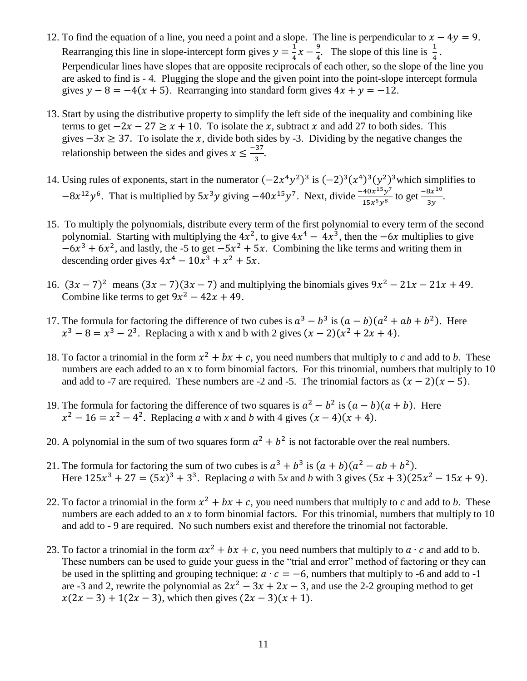- 12. To find the equation of a line, you need a point and a slope. The line is perpendicular to  $x 4y = 9$ . Rearranging this line in slope-intercept form gives  $y = \frac{1}{4}$  $\frac{1}{4}x - \frac{9}{4}$  $\frac{9}{4}$ . The slope of this line is  $\frac{1}{4}$ . Perpendicular lines have slopes that are opposite reciprocals of each other, so the slope of the line you are asked to find is - 4. Plugging the slope and the given point into the point-slope intercept formula gives  $y - 8 = -4(x + 5)$ . Rearranging into standard form gives  $4x + y = -12$ .
- 13. Start by using the distributive property to simplify the left side of the inequality and combining like terms to get  $-2x - 27 \ge x + 10$ . To isolate the x, subtract x and add 27 to both sides. This gives  $-3x \ge 37$ . To isolate the x, divide both sides by -3. Dividing by the negative changes the relationship between the sides and gives  $x \leq \frac{-37}{3}$  $\frac{37}{3}$ .
- 14. Using rules of exponents, start in the numerator  $(-2x^4y^2)^3$  is  $(-2)^3(x^4)^3(y^2)^3$  which simplifies to  $-8x^{12}y^6$ . That is multiplied by  $5x^3y$  giving  $-40x^{15}y^7$ . Next, divide  $\frac{-40x^{15}y^7}{15x^{5}y^8}$  $\frac{40x^{15}y^7}{15x^5y^8}$  to get  $\frac{-8x^{10}}{3y}$  $\frac{6x}{3y}$ .
- 15. To multiply the polynomials, distribute every term of the first polynomial to every term of the second polynomial. Starting with multiplying the  $4x^2$ , to give  $4x^4 - 4x^3$ , then the  $-6x$  multiplies to give  $-6x^3 + 6x^2$ , and lastly, the -5 to get  $-5x^2 + 5x$ . Combining the like terms and writing them in descending order gives  $4x^4 - 10x^3 + x^2 + 5x$ .
- 16.  $(3x 7)^2$  means  $(3x 7)(3x 7)$  and multiplying the binomials gives  $9x^2 21x 21x + 49$ . Combine like terms to get  $9x^2 - 42x + 49$ .
- 17. The formula for factoring the difference of two cubes is  $a^3 b^3$  is  $(a b)(a^2 + ab + b^2)$ . Here  $x^3 - 8 = x^3 - 2^3$ . Replacing a with x and b with 2 gives  $(x - 2)(x^2 + 2x + 4)$ .
- 18. To factor a trinomial in the form  $x^2 + bx + c$ , you need numbers that multiply to *c* and add to *b*. These numbers are each added to an x to form binomial factors. For this trinomial, numbers that multiply to 10 and add to -7 are required. These numbers are -2 and -5. The trinomial factors as  $(x - 2)(x - 5)$ .
- 19. The formula for factoring the difference of two squares is  $a^2 b^2$  is  $(a b)(a + b)$ . Here  $x^2 - 16 = x^2 - 4^2$ . Replacing *a* with *x* and *b* with 4 gives  $(x - 4)(x + 4)$ .
- 20. A polynomial in the sum of two squares form  $a^2 + b^2$  is not factorable over the real numbers.
- 21. The formula for factoring the sum of two cubes is  $a^3 + b^3$  is  $(a + b)(a^2 ab + b^2)$ . Here  $125x^3 + 27 = (5x)^3 + 3^3$ . Replacing *a* with 5*x* and *b* with 3 gives  $(5x + 3)(25x^2 - 15x + 9)$ .
- 22. To factor a trinomial in the form  $x^2 + bx + c$ , you need numbers that multiply to *c* and add to *b*. These numbers are each added to an *x* to form binomial factors. For this trinomial, numbers that multiply to 10 and add to - 9 are required. No such numbers exist and therefore the trinomial not factorable.
- 23. To factor a trinomial in the form  $ax^2 + bx + c$ , you need numbers that multiply to  $a \cdot c$  and add to b. These numbers can be used to guide your guess in the "trial and error" method of factoring or they can be used in the splitting and grouping technique:  $a \cdot c = -6$ , numbers that multiply to -6 and add to -1 are -3 and 2, rewrite the polynomial as  $2x^2 - 3x + 2x - 3$ , and use the 2-2 grouping method to get  $x(2x-3) + 1(2x - 3)$ , which then gives  $(2x - 3)(x + 1)$ .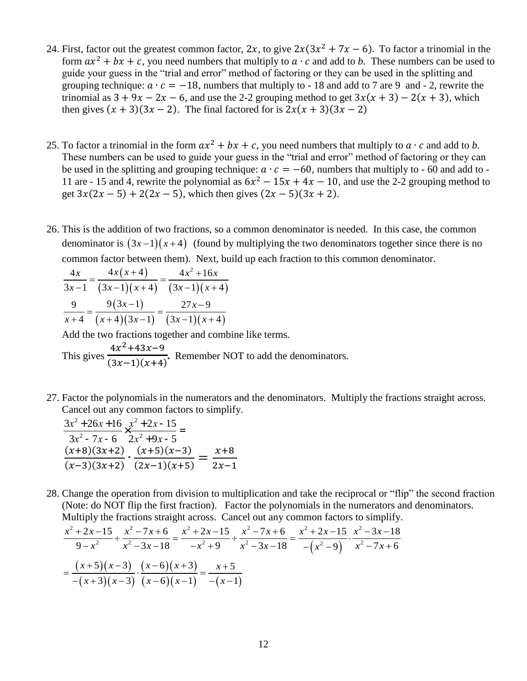- 24. First, factor out the greatest common factor, 2x, to give  $2x(3x^2 + 7x 6)$ . To factor a trinomial in the form  $ax^2 + bx + c$ , you need numbers that multiply to  $a \cdot c$  and add to *b*. These numbers can be used to guide your guess in the "trial and error" method of factoring or they can be used in the splitting and grouping technique:  $a \cdot c = -18$ , numbers that multiply to - 18 and add to 7 are 9 and - 2, rewrite the trinomial as  $3 + 9x - 2x - 6$ , and use the 2-2 grouping method to get  $3x(x + 3) - 2(x + 3)$ , which then gives  $(x + 3)(3x - 2)$ . The final factored for is  $2x(x + 3)(3x - 2)$
- 25. To factor a trinomial in the form  $ax^2 + bx + c$ , you need numbers that multiply to  $a \cdot c$  and add to *b*. These numbers can be used to guide your guess in the "trial and error" method of factoring or they can be used in the splitting and grouping technique:  $a \cdot c = -60$ , numbers that multiply to - 60 and add to -11 are - 15 and 4, rewrite the polynomial as  $6x^2 - 15x + 4x - 10$ , and use the 2-2 grouping method to get  $3x(2x - 5) + 2(2x - 5)$ , which then gives  $(2x - 5)(3x + 2)$ .
- 26. This is the addition of two fractions, so a common denominator is needed. In this case, the common denominator is  $(3x-1)(x+4)$  (found by multiplying the two denominators together since there is no common factor between them). Next, build up each fraction to this common denominator.<br> $\frac{4x}{x} = \frac{4x(x+4)}{x^2+16x}$

$$
\frac{4x}{3x-1} = \frac{4x(x+4)}{(3x-1)(x+4)} = \frac{4x^2+16x}{(3x-1)(x+4)}
$$

$$
\frac{9}{x+4} = \frac{9(3x-1)}{(x+4)(3x-1)} = \frac{27x-9}{(3x-1)(x+4)}
$$

Add the two fractions together and combine like terms. This gives  $4x^2 + 43x - 9$  $\frac{4x+43x-9}{(3x-1)(x+4)}$ . Remember NOT to add the denominators.

27. Factor the polynomials in the numerators and the denominators. Multiply the fractions straight across. Cancel out any common factors to simplify.

$$
\frac{3x^2 + 26x + 16}{3x^2 - 7x - 6} \times \frac{x^2 + 2x - 15}{2x^2 + 9x - 5} =
$$
\n
$$
\frac{(x+8)(3x+2)}{(x-3)(3x+2)} \cdot \frac{(x+5)(x-3)}{(2x-1)(x+5)} = \frac{x+8}{2x-1}
$$

28. Change the operation from division to multiplication and take the reciprocal or "flip" the second fraction (Note: do NOT flip the first fraction). Factor the polynomials in the numerators and denominators. Multiply the fractions straight across. Cancel out any common factors to simplify. Note: do NOT lift the first fraction). Factor the polynomials in the num-<br>
lultiply the fractions straight across. Cancel out any common factors to<br>  $x^2 + 2x - 15$   $x^2 - 7x + 6$   $x^2 + 2x - 15$   $x^2 - 7x + 6$   $x^2 + 2x - 15$   $x^2$ ge the operation from division to multiplication and take the reciprocal or "fl"<br>
2: do NOT flip the first fraction). Factor the polynomials in the numerators as<br>
giply the fractions straight across. Cancel out any common Change the operation from division to multiplication and take the reciprocal condition.<br> *Note:* do NOT flip the first fraction). Factor the polynomials in the numerat<br> *Aultiply* the fractions straight across. Cancel out ange the operation from division to multiplication and take the reciprocal or "flip" the set<br>set: do NOT flip the first fraction). Factor the polynomials in the numerators and denon<br>ltiply the fractions straight across. C

(Note: do NOT flip the first fraction). Factor the polynomials in the numerators and denom  
\nMultiply the fractions straight across. Cancel out any common factors to simplify.  
\n
$$
\frac{x^2 + 2x - 15}{9 - x^2} \div \frac{x^2 - 7x + 6}{x^2 - 3x - 18} = \frac{x^2 + 2x - 15}{-x^2 + 9} \div \frac{x^2 - 7x + 6}{x^2 - 3x - 18} = \frac{x^2 + 2x - 15}{-(x^2 - 9)} \cdot \frac{x^2 - 3x - 18}{x^2 - 7x + 6}
$$
\n
$$
= \frac{(x+5)(x-3)}{-(x+3)(x-3)} \cdot \frac{(x-6)(x+3)}{(x-6)(x-1)} = \frac{x+5}{-(x-1)}
$$